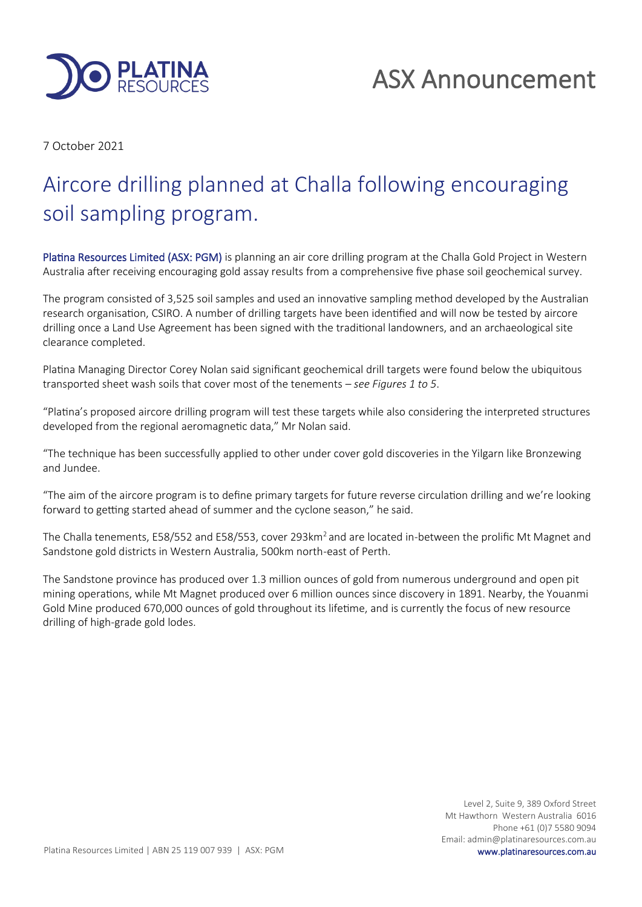

7 October 2021

# Aircore drilling planned at Challa following encouraging soil sampling program.

Platina Resources Limited (ASX: PGM) is planning an air core drilling program at the Challa Gold Project in Western Australia after receiving encouraging gold assay results from a comprehensive five phase soil geochemical survey.

The program consisted of 3,525 soil samples and used an innovative sampling method developed by the Australian research organisation, CSIRO. A number of drilling targets have been identified and will now be tested by aircore drilling once a Land Use Agreement has been signed with the traditional landowners, and an archaeological site clearance completed.

Platina Managing Director Corey Nolan said significant geochemical drill targets were found below the ubiquitous transported sheet wash soils that cover most of the tenements – *see Figures 1 to 5*.

"Platina's proposed aircore drilling program will test these targets while also considering the interpreted structures developed from the regional aeromagnetic data," Mr Nolan said.

"The technique has been successfully applied to other under cover gold discoveries in the Yilgarn like Bronzewing and Jundee.

"The aim of the aircore program is to define primary targets for future reverse circulation drilling and we're looking forward to getting started ahead of summer and the cyclone season," he said.

The Challa tenements, E58/552 and E58/553, cover 293km<sup>2</sup> and are located in-between the prolific Mt Magnet and Sandstone gold districts in Western Australia, 500km north-east of Perth.

The Sandstone province has produced over 1.3 million ounces of gold from numerous underground and open pit mining operations, while Mt Magnet produced over 6 million ounces since discovery in 1891. Nearby, the Youanmi Gold Mine produced 670,000 ounces of gold throughout its lifetime, and is currently the focus of new resource drilling of high-grade gold lodes.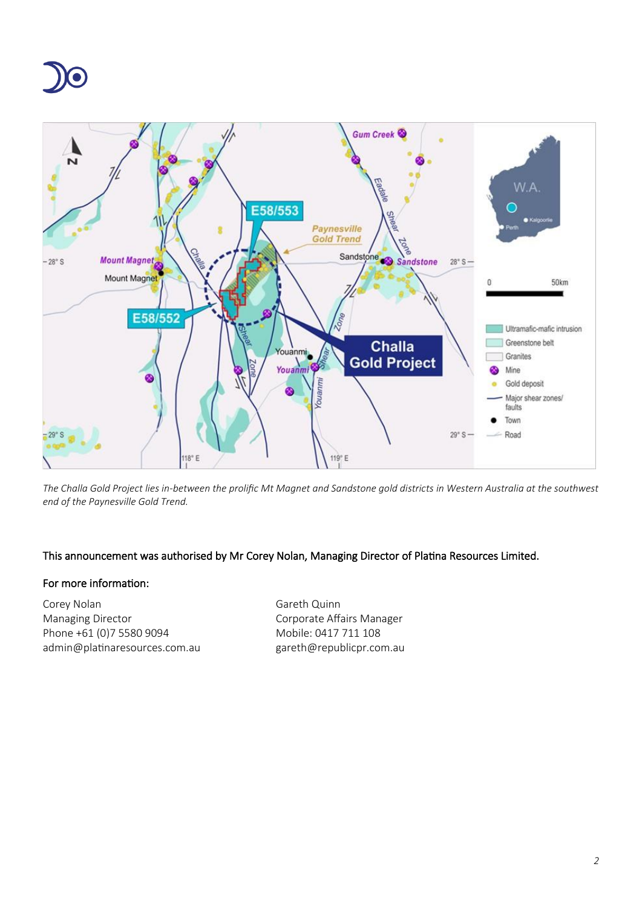



*The Challa Gold Project lies in-between the prolific Mt Magnet and Sandstone gold districts in Western Australia at the southwest end of the Paynesville Gold Trend.*

#### This announcement was authorised by Mr Corey Nolan, Managing Director of Platina Resources Limited.

#### For more information:

Corey Nolan Gareth Quinn Managing Director **Communist Communist Corporate Affairs Manager** Phone +61 (0)7 5580 9094 Mobile: 0417 711 108 admin@platinaresources.com.au gareth@republicpr.com.au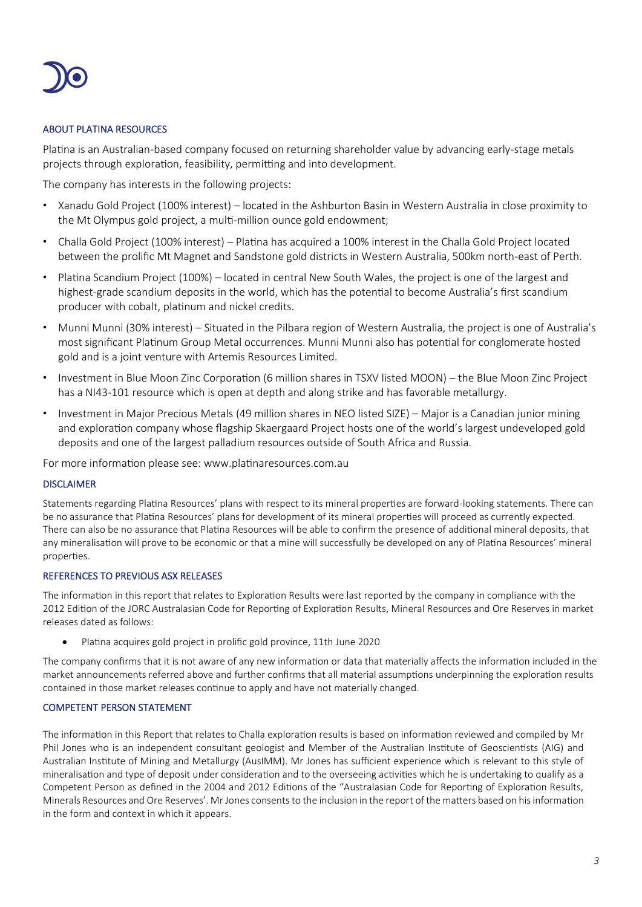

#### ABOUT PLATINA RESOURCES

Platina is an Australian-based company focused on returning shareholder value by advancing early-stage metals projects through exploration, feasibility, permitting and into development.

The company has interests in the following projects:

- Xanadu Gold Project (100% interest) located in the Ashburton Basin in Western Australia in close proximity to the Mt Olympus gold project, a multi-million ounce gold endowment;
- Challa Gold Project (100% interest) Platina has acquired a 100% interest in the Challa Gold Project located between the prolific Mt Magnet and Sandstone gold districts in Western Australia, 500km north-east of Perth.
- Platina Scandium Project (100%) located in central New South Wales, the project is one of the largest and highest-grade scandium deposits in the world, which has the potential to become Australia's first scandium producer with cobalt, platinum and nickel credits.
- Munni Munni (30% interest) Situated in the Pilbara region of Western Australia, the project is one of Australia's most significant Platinum Group Metal occurrences. Munni Munni also has potential for conglomerate hosted gold and is a joint venture with Artemis Resources Limited.
- Investment in Blue Moon Zinc Corporation (6 million shares in TSXV listed MOON) the Blue Moon Zinc Project has a NI43-101 resource which is open at depth and along strike and has favorable metallurgy.
- Investment in Major Precious Metals (49 million shares in NEO listed SIZE) Major is a Canadian junior mining and exploration company whose flagship Skaergaard Project hosts one of the world's largest undeveloped gold deposits and one of the largest palladium resources outside of South Africa and Russia.

For more information please see: www.platinaresources.com.au

#### DISCLAIMER

Statements regarding Platina Resources' plans with respect to its mineral properties are forward-looking statements. There can be no assurance that Platina Resources' plans for development of its mineral properties will proceed as currently expected. There can also be no assurance that Platina Resources will be able to confirm the presence of additional mineral deposits, that any mineralisation will prove to be economic or that a mine will successfully be developed on any of Platina Resources' mineral properties.

#### REFERENCES TO PREVIOUS ASX RELEASES

The information in this report that relates to Exploration Results were last reported by the company in compliance with the 2012 Edition of the JORC Australasian Code for Reporting of Exploration Results, Mineral Resources and Ore Reserves in market releases dated as follows:

• Platina acquires gold project in prolific gold province, 11th June 2020

The company confirms that it is not aware of any new information or data that materially affects the information included in the market announcements referred above and further confirms that all material assumptions underpinning the exploration results contained in those market releases continue to apply and have not materially changed.

#### COMPETENT PERSON STATEMENT

The information in this Report that relates to Challa exploration results is based on information reviewed and compiled by Mr Phil Jones who is an independent consultant geologist and Member of the Australian Institute of Geoscientists (AIG) and Australian Institute of Mining and Metallurgy (AusIMM). Mr Jones has sufficient experience which is relevant to this style of mineralisation and type of deposit under consideration and to the overseeing activities which he is undertaking to qualify as a Competent Person as defined in the 2004 and 2012 Editions of the "Australasian Code for Reporting of Exploration Results, Minerals Resources and Ore Reserves'. Mr Jones consents to the inclusion in the report of the matters based on his information in the form and context in which it appears.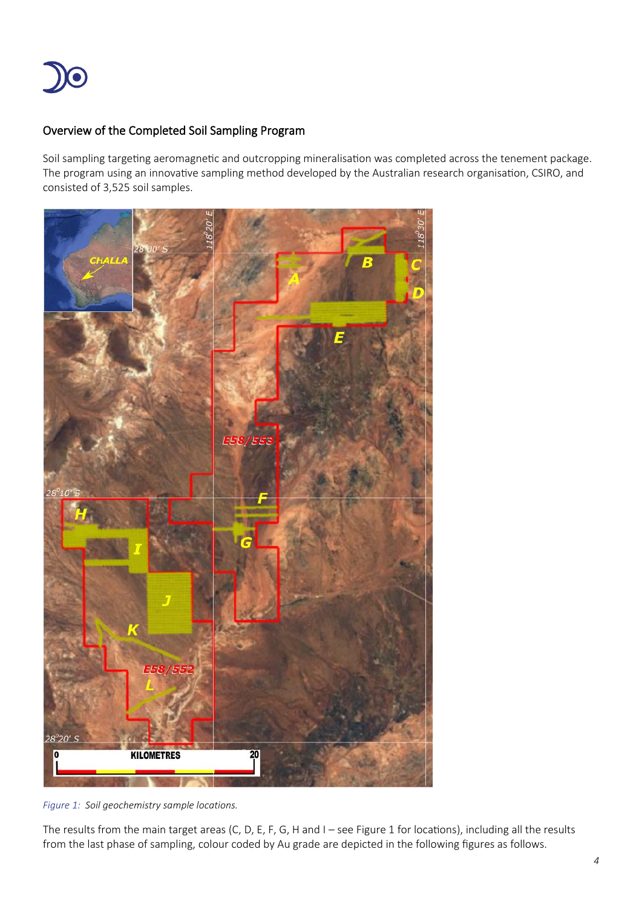

#### Overview of the Completed Soil Sampling Program

Soil sampling targeting aeromagnetic and outcropping mineralisation was completed across the tenement package. The program using an innovative sampling method developed by the Australian research organisation, CSIRO, and consisted of 3,525 soil samples.



*Figure 1: Soil geochemistry sample locations.*

<span id="page-3-0"></span>The results from the main target areas (C, D, E, F, G, H and I – see [Figure 1](#page-3-0) for locations), including all the results from the last phase of sampling, colour coded by Au grade are depicted in the following figures as follows.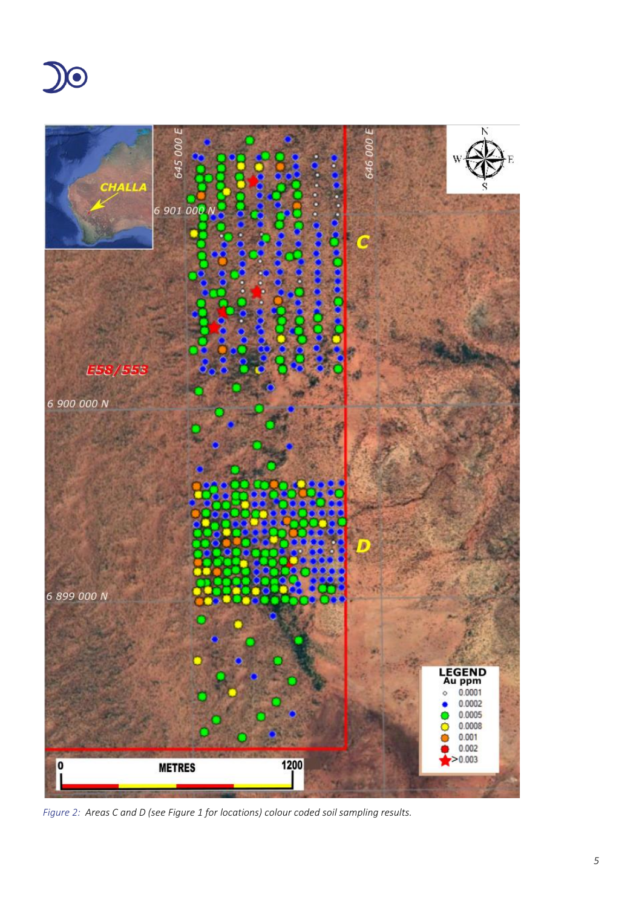



*Figure 2: Areas C and D (see [Figure 1](#page-3-0) for locations) colour coded soil sampling results.*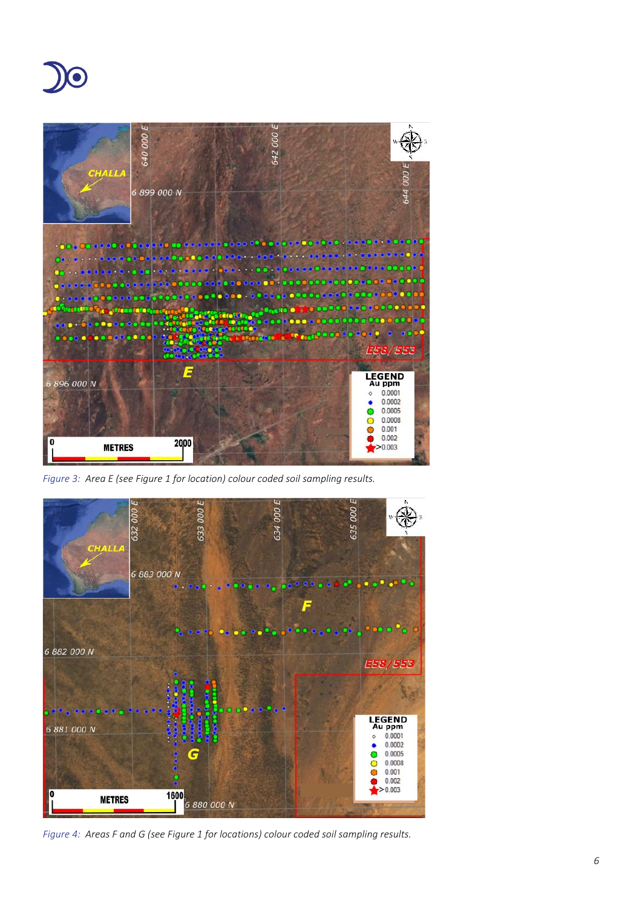



*Figure 3: Area E (see [Figure 1](#page-3-0) for location) colour coded soil sampling results.*



*Figure 4: Areas F and G (se[e Figure 1](#page-3-0) for locations) colour coded soil sampling results.*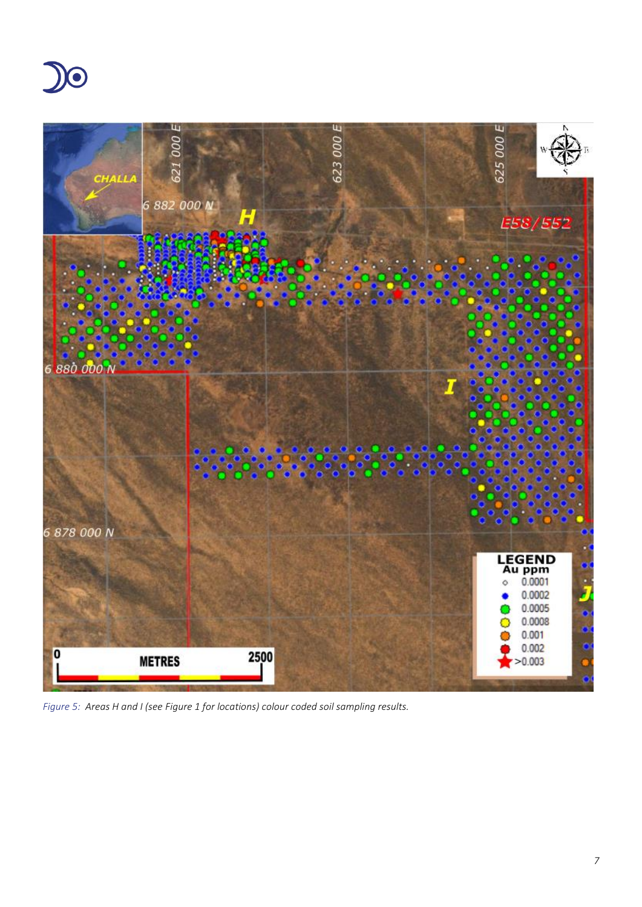



*Figure 5: Areas H and I (see [Figure 1](#page-3-0) for locations) colour coded soil sampling results.*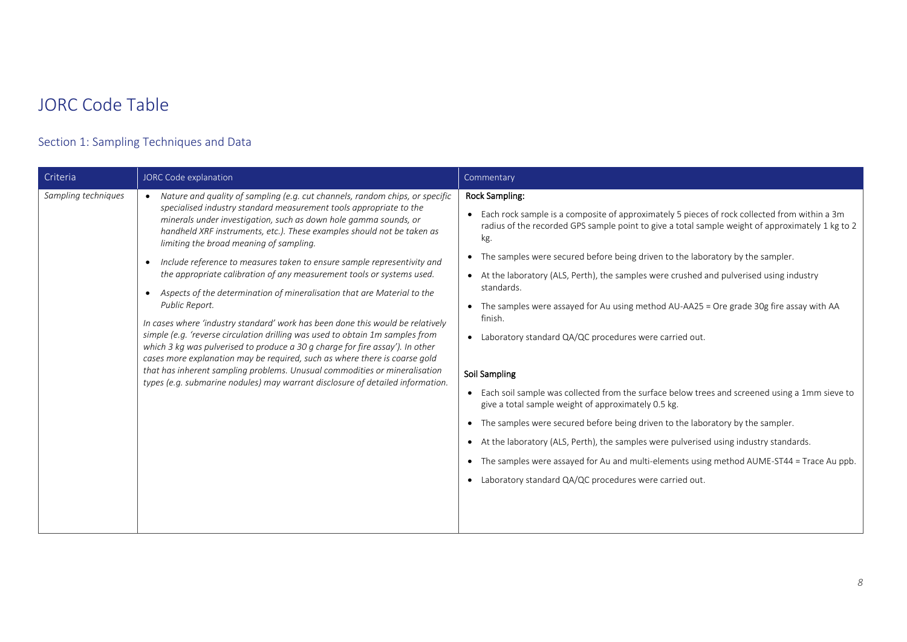## JORC Code Table

### Section 1: Sampling Techniques and Data

| Criteria<br>JORC Code explanation                                                                                                                                                                                                                                                                                                                                                                                                                                                                                                                                                                                                                                                                                                                                                                                                                                                                                                                                                                                                                                                                                                      | Commentary                                                                                                                                                                                                                                                                                                                                                                                                                                                                                                                                                                                                                                                                                                                                                                                                                                                                                                                                                                                                                                                                                                                                    |
|----------------------------------------------------------------------------------------------------------------------------------------------------------------------------------------------------------------------------------------------------------------------------------------------------------------------------------------------------------------------------------------------------------------------------------------------------------------------------------------------------------------------------------------------------------------------------------------------------------------------------------------------------------------------------------------------------------------------------------------------------------------------------------------------------------------------------------------------------------------------------------------------------------------------------------------------------------------------------------------------------------------------------------------------------------------------------------------------------------------------------------------|-----------------------------------------------------------------------------------------------------------------------------------------------------------------------------------------------------------------------------------------------------------------------------------------------------------------------------------------------------------------------------------------------------------------------------------------------------------------------------------------------------------------------------------------------------------------------------------------------------------------------------------------------------------------------------------------------------------------------------------------------------------------------------------------------------------------------------------------------------------------------------------------------------------------------------------------------------------------------------------------------------------------------------------------------------------------------------------------------------------------------------------------------|
| Sampling techniques<br>• Nature and quality of sampling (e.g. cut channels, random chips, or specific<br>specialised industry standard measurement tools appropriate to the<br>minerals under investigation, such as down hole gamma sounds, or<br>handheld XRF instruments, etc.). These examples should not be taken as<br>limiting the broad meaning of sampling.<br>Include reference to measures taken to ensure sample representivity and<br>$\bullet$<br>the appropriate calibration of any measurement tools or systems used.<br>• Aspects of the determination of mineralisation that are Material to the<br>Public Report.<br>In cases where 'industry standard' work has been done this would be relatively<br>simple (e.g. 'reverse circulation drilling was used to obtain 1m samples from<br>which 3 kg was pulverised to produce a 30 g charge for fire assay'). In other<br>cases more explanation may be required, such as where there is coarse gold<br>that has inherent sampling problems. Unusual commodities or mineralisation<br>types (e.g. submarine nodules) may warrant disclosure of detailed information. | <b>Rock Sampling:</b><br>Each rock sample is a composite of approximately 5 pieces of rock collected from within a 3m<br>radius of the recorded GPS sample point to give a total sample weight of approximately 1 kg to 2<br>kg.<br>The samples were secured before being driven to the laboratory by the sampler.<br>$\bullet$<br>• At the laboratory (ALS, Perth), the samples were crushed and pulverised using industry<br>standards.<br>• The samples were assayed for Au using method AU-AA25 = Ore grade 30g fire assay with AA<br>finish.<br>Laboratory standard QA/QC procedures were carried out.<br>$\bullet$<br>Soil Sampling<br>• Each soil sample was collected from the surface below trees and screened using a 1mm sieve to<br>give a total sample weight of approximately 0.5 kg.<br>• The samples were secured before being driven to the laboratory by the sampler.<br>• At the laboratory (ALS, Perth), the samples were pulverised using industry standards.<br>• The samples were assayed for Au and multi-elements using method AUME-ST44 = Trace Au ppb.<br>• Laboratory standard QA/QC procedures were carried out. |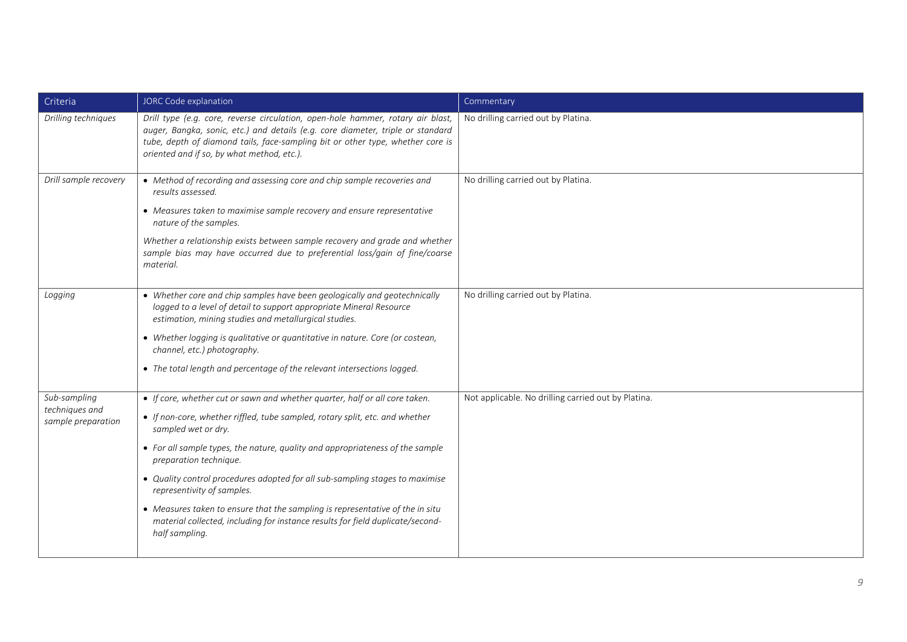| Criteria                                             | JORC Code explanation                                                                                                                                                                                                                                                                                                                                                                                                                                                                                                                                                                            | Commentary                                          |
|------------------------------------------------------|--------------------------------------------------------------------------------------------------------------------------------------------------------------------------------------------------------------------------------------------------------------------------------------------------------------------------------------------------------------------------------------------------------------------------------------------------------------------------------------------------------------------------------------------------------------------------------------------------|-----------------------------------------------------|
| Drilling techniques                                  | Drill type (e.g. core, reverse circulation, open-hole hammer, rotary air blast,<br>auger, Bangka, sonic, etc.) and details (e.g. core diameter, triple or standard<br>tube, depth of diamond tails, face-sampling bit or other type, whether core is<br>oriented and if so, by what method, etc.).                                                                                                                                                                                                                                                                                               | No drilling carried out by Platina.                 |
| Drill sample recovery                                | • Method of recording and assessing core and chip sample recoveries and<br>results assessed.<br>• Measures taken to maximise sample recovery and ensure representative<br>nature of the samples.<br>Whether a relationship exists between sample recovery and grade and whether<br>sample bias may have occurred due to preferential loss/gain of fine/coarse<br>material.                                                                                                                                                                                                                       | No drilling carried out by Platina.                 |
| Logging                                              | • Whether core and chip samples have been geologically and geotechnically<br>logged to a level of detail to support appropriate Mineral Resource<br>estimation, mining studies and metallurgical studies.<br>• Whether logging is qualitative or quantitative in nature. Core (or costean,<br>channel, etc.) photography.<br>• The total length and percentage of the relevant intersections logged.                                                                                                                                                                                             | No drilling carried out by Platina.                 |
| Sub-sampling<br>techniques and<br>sample preparation | • If core, whether cut or sawn and whether quarter, half or all core taken.<br>• If non-core, whether riffled, tube sampled, rotary split, etc. and whether<br>sampled wet or dry.<br>• For all sample types, the nature, quality and appropriateness of the sample<br>preparation technique.<br>• Quality control procedures adopted for all sub-sampling stages to maximise<br>representivity of samples.<br>• Measures taken to ensure that the sampling is representative of the in situ<br>material collected, including for instance results for field duplicate/second-<br>half sampling. | Not applicable. No drilling carried out by Platina. |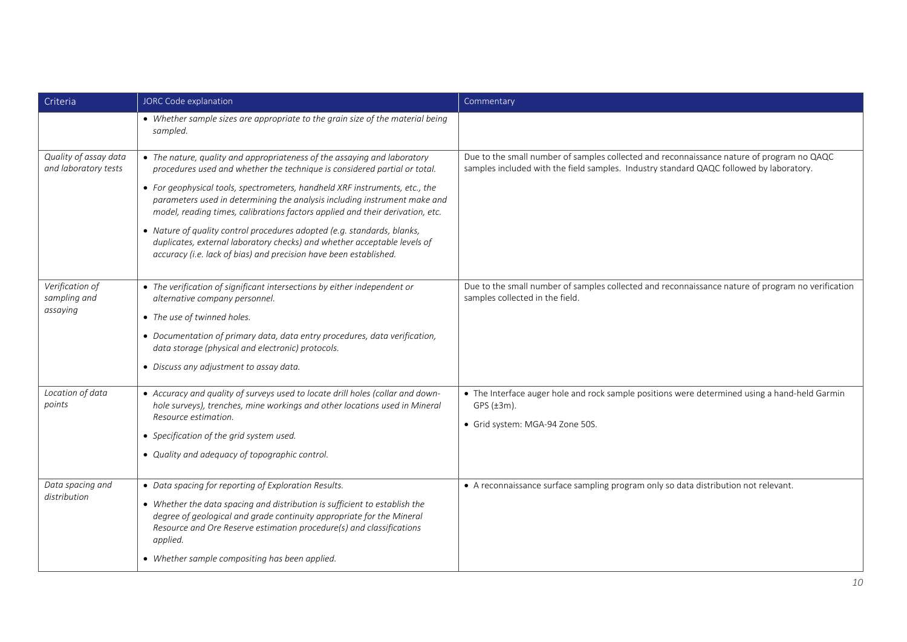| Criteria                                      | JORC Code explanation                                                                                                                                                                                                                                                                                                                                                                                                                                                                                                                                                                                                          | Commentary                                                                                                                                                                           |
|-----------------------------------------------|--------------------------------------------------------------------------------------------------------------------------------------------------------------------------------------------------------------------------------------------------------------------------------------------------------------------------------------------------------------------------------------------------------------------------------------------------------------------------------------------------------------------------------------------------------------------------------------------------------------------------------|--------------------------------------------------------------------------------------------------------------------------------------------------------------------------------------|
|                                               | • Whether sample sizes are appropriate to the grain size of the material being<br>sampled.                                                                                                                                                                                                                                                                                                                                                                                                                                                                                                                                     |                                                                                                                                                                                      |
| Quality of assay data<br>and laboratory tests | • The nature, quality and appropriateness of the assaying and laboratory<br>procedures used and whether the technique is considered partial or total.<br>• For geophysical tools, spectrometers, handheld XRF instruments, etc., the<br>parameters used in determining the analysis including instrument make and<br>model, reading times, calibrations factors applied and their derivation, etc.<br>• Nature of quality control procedures adopted (e.g. standards, blanks,<br>duplicates, external laboratory checks) and whether acceptable levels of<br>accuracy (i.e. lack of bias) and precision have been established. | Due to the small number of samples collected and reconnaissance nature of program no QAQC<br>samples included with the field samples. Industry standard QAQC followed by laboratory. |
| Verification of<br>sampling and<br>assaying   | • The verification of significant intersections by either independent or<br>alternative company personnel.<br>• The use of twinned holes.<br>• Documentation of primary data, data entry procedures, data verification,<br>data storage (physical and electronic) protocols.<br>• Discuss any adjustment to assay data.                                                                                                                                                                                                                                                                                                        | Due to the small number of samples collected and reconnaissance nature of program no verification<br>samples collected in the field.                                                 |
| Location of data<br>points                    | • Accuracy and quality of surveys used to locate drill holes (collar and down-<br>hole surveys), trenches, mine workings and other locations used in Mineral<br>Resource estimation.<br>• Specification of the grid system used.<br>• Quality and adequacy of topographic control.                                                                                                                                                                                                                                                                                                                                             | • The Interface auger hole and rock sample positions were determined using a hand-held Garmin<br>GPS $(\pm 3m)$ .<br>· Grid system: MGA-94 Zone 50S.                                 |
| Data spacing and<br>distribution              | • Data spacing for reporting of Exploration Results.<br>• Whether the data spacing and distribution is sufficient to establish the<br>degree of geological and grade continuity appropriate for the Mineral<br>Resource and Ore Reserve estimation procedure(s) and classifications<br>applied.<br>• Whether sample compositing has been applied.                                                                                                                                                                                                                                                                              | • A reconnaissance surface sampling program only so data distribution not relevant.                                                                                                  |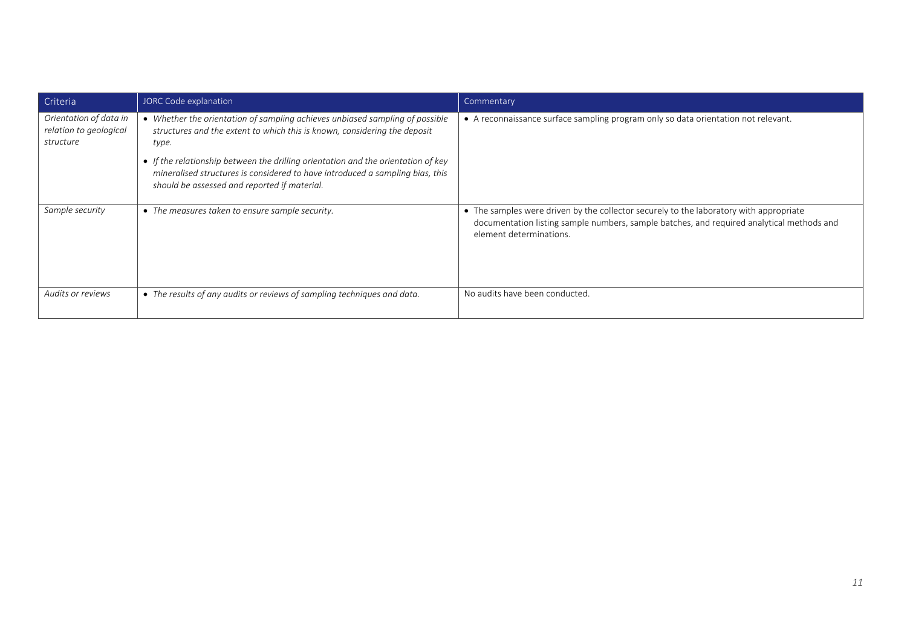| Criteria                                                      | JORC Code explanation                                                                                                                                                                                                                                                                                                                                                                    | Commentary                                                                                                                                                                                                     |
|---------------------------------------------------------------|------------------------------------------------------------------------------------------------------------------------------------------------------------------------------------------------------------------------------------------------------------------------------------------------------------------------------------------------------------------------------------------|----------------------------------------------------------------------------------------------------------------------------------------------------------------------------------------------------------------|
| Orientation of data in<br>relation to geological<br>structure | • Whether the orientation of sampling achieves unbiased sampling of possible<br>structures and the extent to which this is known, considering the deposit<br>type.<br>• If the relationship between the drilling orientation and the orientation of key<br>mineralised structures is considered to have introduced a sampling bias, this<br>should be assessed and reported if material. | • A reconnaissance surface sampling program only so data orientation not relevant.                                                                                                                             |
| Sample security                                               | • The measures taken to ensure sample security.                                                                                                                                                                                                                                                                                                                                          | • The samples were driven by the collector securely to the laboratory with appropriate<br>documentation listing sample numbers, sample batches, and required analytical methods and<br>element determinations. |
| Audits or reviews                                             | • The results of any audits or reviews of sampling techniques and data.                                                                                                                                                                                                                                                                                                                  | No audits have been conducted.                                                                                                                                                                                 |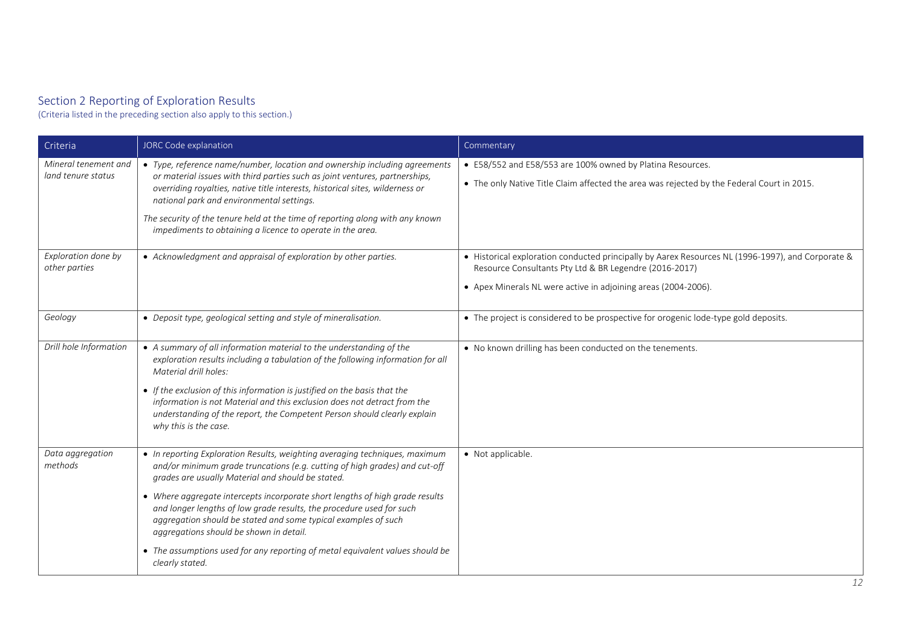#### Section 2 Reporting of Exploration Results

(Criteria listed in the preceding section also apply to this section.)

| Criteria                                   | JORC Code explanation                                                                                                                                                                                                                                                                                                                                                                                                                                                                                                                                                                   | Commentary                                                                                                                                                                                                                    |
|--------------------------------------------|-----------------------------------------------------------------------------------------------------------------------------------------------------------------------------------------------------------------------------------------------------------------------------------------------------------------------------------------------------------------------------------------------------------------------------------------------------------------------------------------------------------------------------------------------------------------------------------------|-------------------------------------------------------------------------------------------------------------------------------------------------------------------------------------------------------------------------------|
| Mineral tenement and<br>land tenure status | • Type, reference name/number, location and ownership including agreements<br>or material issues with third parties such as joint ventures, partnerships,<br>overriding royalties, native title interests, historical sites, wilderness or<br>national park and environmental settings.<br>The security of the tenure held at the time of reporting along with any known<br>impediments to obtaining a licence to operate in the area.                                                                                                                                                  | • E58/552 and E58/553 are 100% owned by Platina Resources.<br>• The only Native Title Claim affected the area was rejected by the Federal Court in 2015.                                                                      |
| Exploration done by<br>other parties       | • Acknowledgment and appraisal of exploration by other parties.                                                                                                                                                                                                                                                                                                                                                                                                                                                                                                                         | • Historical exploration conducted principally by Aarex Resources NL (1996-1997), and Corporate &<br>Resource Consultants Pty Ltd & BR Legendre (2016-2017)<br>• Apex Minerals NL were active in adjoining areas (2004-2006). |
| Geology                                    | • Deposit type, geological setting and style of mineralisation.                                                                                                                                                                                                                                                                                                                                                                                                                                                                                                                         | • The project is considered to be prospective for orogenic lode-type gold deposits.                                                                                                                                           |
| Drill hole Information                     | • A summary of all information material to the understanding of the<br>exploration results including a tabulation of the following information for all<br>Material drill holes:<br>• If the exclusion of this information is justified on the basis that the<br>information is not Material and this exclusion does not detract from the<br>understanding of the report, the Competent Person should clearly explain<br>why this is the case.                                                                                                                                           | . No known drilling has been conducted on the tenements.                                                                                                                                                                      |
| Data aggregation<br>methods                | • In reporting Exploration Results, weighting averaging techniques, maximum<br>and/or minimum grade truncations (e.g. cutting of high grades) and cut-off<br>grades are usually Material and should be stated.<br>• Where aggregate intercepts incorporate short lengths of high grade results<br>and longer lengths of low grade results, the procedure used for such<br>aggregation should be stated and some typical examples of such<br>aggregations should be shown in detail.<br>• The assumptions used for any reporting of metal equivalent values should be<br>clearly stated. | • Not applicable.                                                                                                                                                                                                             |